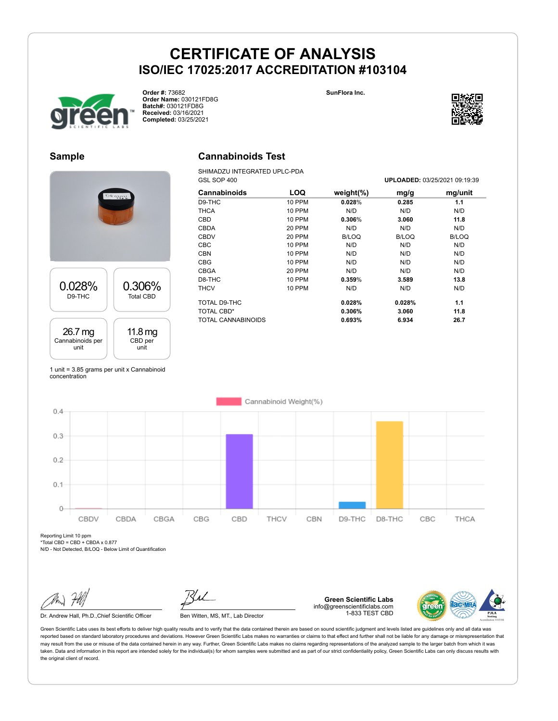



**Order #:** 73682 **Order Name:** 030121FD8G **Batch#:** 030121FD8G **Received:** 03/16/2021 **Completed:** 03/25/2021



## **Sample**

## **Cannabinoids Test**

SHIMADZU INTEGRATED UPLC-PDA

| DSO2011          |                  |  |  |  |
|------------------|------------------|--|--|--|
| 0.028%           | 0.306%           |  |  |  |
| D9-THC           | <b>Total CBD</b> |  |  |  |
| 26.7 mg          | 11.8 mg          |  |  |  |
| Cannabinoids per | CBD per          |  |  |  |
| unit             | unit             |  |  |  |

1 unit = 3.85 grams per unit x Cannabinoid concentration

| GSL SOP 400               |               |               |              | UPLOADED: 03/25/2021 09:19:39 |
|---------------------------|---------------|---------------|--------------|-------------------------------|
| Cannabinoids              | LOQ           | weight $(\%)$ | mg/g         | mg/unit                       |
| D9-THC                    | 10 PPM        | 0.028%        | 0.285        | 1.1                           |
| THCA                      | 10 PPM        | N/D           | N/D          | N/D                           |
| <b>CBD</b>                | 10 PPM        | 0.306%        | 3.060        | 11.8                          |
| <b>CBDA</b>               | 20 PPM        | N/D           | N/D          | N/D                           |
| <b>CBDV</b>               | <b>20 PPM</b> | <b>B/LOQ</b>  | <b>B/LOQ</b> | B/LOQ                         |
| <b>CBC</b>                | 10 PPM        | N/D           | N/D          | N/D                           |
| <b>CBN</b>                | 10 PPM        | N/D           | N/D          | N/D                           |
| <b>CBG</b>                | <b>10 PPM</b> | N/D           | N/D          | N/D                           |
| CBGA                      | <b>20 PPM</b> | N/D           | N/D          | N/D                           |
| D8-THC                    | 10 PPM        | 0.359%        | 3.589        | 13.8                          |
| <b>THCV</b>               | <b>10 PPM</b> | N/D           | N/D          | N/D                           |
| TOTAL D9-THC              |               | 0.028%        | 0.028%       | 1.1                           |
| <b>TOTAL CBD*</b>         |               | 0.306%        | 3.060        | 11.8                          |
| <b>TOTAL CANNABINOIDS</b> |               | 0.693%        | 6.934        | 26.7                          |



Reporting Limit 10 ppm

 $*Total CBD = CBD + CBDA \times 0.877$ 

N/D - Not Detected, B/LOQ - Below Limit of Quantification

Dr. Andrew Hall, Ph.D., Chief Scientific Officer Ben Witten, MS, MT., Lab Director

**Green Scientific Labs** info@greenscientificlabs.com 1-833 TEST CBD

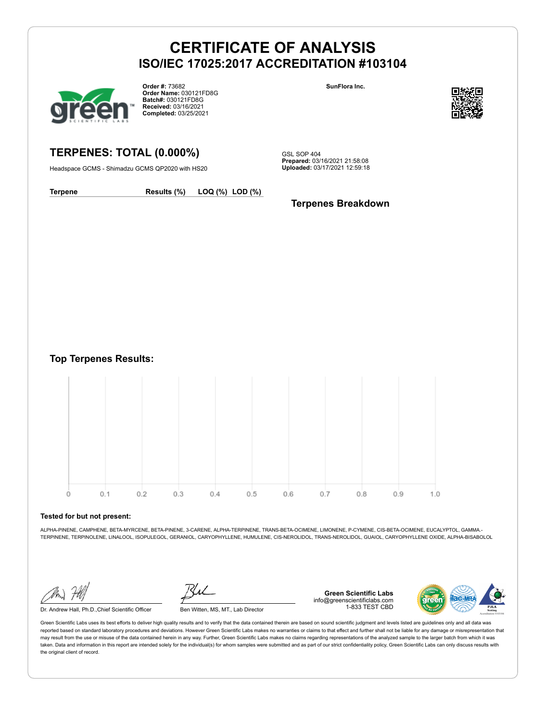

**Order #:** 73682 **Order Name:** 030121FD8G **Batch#:** 030121FD8G **Received:** 03/16/2021 **Completed:** 03/25/2021

**SunFlora Inc.**



**TERPENES: TOTAL (0.000%)**

Headspace GCMS - Shimadzu GCMS QP2020 with HS20

GSL SOP 404 **Prepared:** 03/16/2021 21:58:08 **Uploaded:** 03/17/2021 12:59:18

**Terpene Results (%) LOQ (%) LOD (%)**

**Terpenes Breakdown**

**Top Terpenes Results:**



#### **Tested for but not present:**

ALPHA-PINENE, CAMPHENE, BETA-MYRCENE, BETA-PINENE, 3-CARENE, ALPHA-TERPINENE, TRANS-BETA-OCIMENE, LIMONENE, P-CYMENE, CIS-BETA-OCIMENE, EUCALYPTOL, GAMMA.- TERPINENE, TERPINOLENE, LINALOOL, ISOPULEGOL, GERANIOL, CARYOPHYLLENE, HUMULENE, CIS-NEROLIDOL, TRANS-NEROLIDOL, GUAIOL, CARYOPHYLLENE OXIDE, ALPHA-BISABOLOL

Dr. Andrew Hall, Ph.D.,Chief Scientific Officer Ben Witten, MS, MT., Lab Director

**Green Scientific Labs** info@greenscientificlabs.com 1-833 TEST CBD

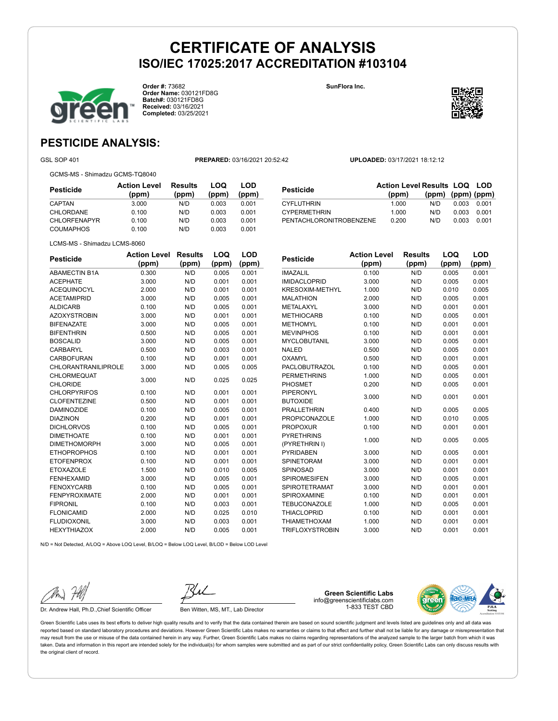**Order #:** 73682 **Order Name:** 030121FD8G **Batch#:** 030121FD8G **Received:** 03/16/2021 **Completed:** 03/25/2021

**SunFlora Inc.**

**Pesticide Action Level**



## **PESTICIDE ANALYSIS:**

GSL SOP 401 **PREPARED:** 03/16/2021 20:52:42 **UPLOADED:** 03/17/2021 18:12:12

GCMS-MS - Shimadzu GCMS-TQ8040

**Pesticide Action Level (ppm) Results (ppm) LOQ (ppm) LOD (ppm)** CAPTAN 3.000 N/D 0.003 0.001 CHLORDANE 0.100 N/D 0.003 0.001 CHLORFENAPYR 0.100 N/D 0.003 0.001 COUMAPHOS 0.100 N/D 0.003 0.001

| Pesticide               | <b>Action Level Results LOQ LOD</b> |                   |       |       |
|-------------------------|-------------------------------------|-------------------|-------|-------|
|                         | (ppm)                               | (ppm) (ppm) (ppm) |       |       |
| CYFLUTHRIN              | 1.000                               | N/D               | 0.003 | 0.001 |
| <b>CYPERMETHRIN</b>     | 1.000                               | N/D               | 0.003 | 0.001 |
| PENTACHLORONITROBENZENE | 0.200                               | N/D               | 0.003 | 0.001 |

**Results**

**LOQ**

**LOD**

LCMS-MS - Shimadzu LCMS-8060

| <b>Pesticide</b>           | <b>Action Level</b> | <b>Results</b> | LOQ   | LOD   |
|----------------------------|---------------------|----------------|-------|-------|
|                            | (ppm)               | (ppm)          | (ppm) | (ppm) |
| <b>ABAMECTIN B1A</b>       | 0.300               | N/D            | 0.005 | 0.001 |
| <b>ACEPHATE</b>            | 3.000               | N/D            | 0.001 | 0.001 |
| <b>ACEQUINOCYL</b>         | 2.000               | N/D            | 0.001 | 0.001 |
| <b>ACETAMIPRID</b>         | 3.000               | N/D            | 0.005 | 0.001 |
| <b>ALDICARB</b>            | 0.100               | N/D            | 0.005 | 0.001 |
| <b>AZOXYSTROBIN</b>        | 3.000               | N/D            | 0.001 | 0.001 |
| <b>BIFENAZATE</b>          | 3.000               | N/D            | 0.005 | 0.001 |
| <b>BIFENTHRIN</b>          | 0.500               | N/D            | 0.005 | 0.001 |
| <b>BOSCALID</b>            | 3.000               | N/D            | 0.005 | 0.001 |
| CARBARYL                   | 0.500               | N/D            | 0.003 | 0.001 |
| <b>CARBOFURAN</b>          | 0.100               | N/D            | 0.001 | 0.001 |
| <b>CHLORANTRANILIPROLE</b> | 3.000               | N/D            | 0.005 | 0.005 |
| CHLORMEQUAT                | 3.000               | N/D            | 0.025 | 0.025 |
| <b>CHLORIDE</b>            |                     |                |       |       |
| <b>CHLORPYRIFOS</b>        | 0.100               | N/D            | 0.001 | 0.001 |
| <b>CLOFENTEZINE</b>        | 0.500               | N/D            | 0.001 | 0.001 |
| <b>DAMINOZIDE</b>          | 0.100               | N/D            | 0.005 | 0.001 |
| <b>DIAZINON</b>            | 0.200               | N/D            | 0.001 | 0.001 |
| <b>DICHLORVOS</b>          | 0.100               | N/D            | 0.005 | 0.001 |
| <b>DIMETHOATE</b>          | 0.100               | N/D            | 0.001 | 0.001 |
| <b>DIMETHOMORPH</b>        | 3.000               | N/D            | 0.005 | 0.001 |
| <b>ETHOPROPHOS</b>         | 0.100               | N/D            | 0.001 | 0.001 |
| <b>ETOFENPROX</b>          | 0.100               | N/D            | 0.001 | 0.001 |
| <b>ETOXAZOLE</b>           | 1.500               | N/D            | 0.010 | 0.005 |
| <b>FENHEXAMID</b>          | 3.000               | N/D            | 0.005 | 0.001 |
| <b>FENOXYCARB</b>          | 0.100               | N/D            | 0.005 | 0.001 |
| <b>FENPYROXIMATE</b>       | 2.000               | N/D            | 0.001 | 0.001 |
| <b>FIPRONIL</b>            | 0.100               | N/D            | 0.003 | 0.001 |
| <b>FLONICAMID</b>          | 2.000               | N/D            | 0.025 | 0.010 |
| <b>FLUDIOXONIL</b>         | 3.000               | N/D            | 0.003 | 0.001 |
| <b>HEXYTHIAZOX</b>         | 2.000               | N/D            | 0.005 | 0.001 |

| <b><u>concine</u></b>  | (ppm) | (ppm) | (ppm) | (ppm) |
|------------------------|-------|-------|-------|-------|
| <b>IMAZALIL</b>        | 0.100 | N/D   | 0.005 | 0.001 |
| <b>IMIDACLOPRID</b>    | 3.000 | N/D   | 0.005 | 0.001 |
| <b>KRESOXIM-METHYL</b> | 1.000 | N/D   | 0.010 | 0.005 |
| <b>MALATHION</b>       | 2.000 | N/D   | 0.005 | 0.001 |
| METALAXYL              | 3.000 | N/D   | 0.001 | 0.001 |
| <b>METHIOCARB</b>      | 0.100 | N/D   | 0.005 | 0.001 |
| <b>METHOMYL</b>        | 0.100 | N/D   | 0.001 | 0.001 |
| <b>MEVINPHOS</b>       | 0.100 | N/D   | 0.001 | 0.001 |
| <b>MYCLOBUTANIL</b>    | 3.000 | N/D   | 0.005 | 0.001 |
| <b>NALED</b>           | 0.500 | N/D   | 0.005 | 0.001 |
| OXAMYL                 | 0.500 | N/D   | 0.001 | 0.001 |
| <b>PACLOBUTRAZOL</b>   | 0.100 | N/D   | 0.005 | 0.001 |
| <b>PERMETHRINS</b>     | 1.000 | N/D   | 0.005 | 0.001 |
| <b>PHOSMET</b>         | 0.200 | N/D   | 0.005 | 0.001 |
| <b>PIPERONYL</b>       | 3.000 | N/D   | 0.001 | 0.001 |
| <b>BUTOXIDE</b>        |       |       |       |       |
| <b>PRALLETHRIN</b>     | 0.400 | N/D   | 0.005 | 0.005 |
| <b>PROPICONAZOLE</b>   | 1.000 | N/D   | 0.010 | 0.005 |
| <b>PROPOXUR</b>        | 0.100 | N/D   | 0.001 | 0.001 |
| <b>PYRETHRINS</b>      | 1.000 | N/D   | 0.005 | 0.005 |
| (PYRETHRIN I)          |       |       |       |       |
| <b>PYRIDABEN</b>       | 3.000 | N/D   | 0.005 | 0.001 |
| <b>SPINETORAM</b>      | 3.000 | N/D   | 0.001 | 0.001 |
| <b>SPINOSAD</b>        | 3.000 | N/D   | 0.001 | 0.001 |
| <b>SPIROMESIFEN</b>    | 3.000 | N/D   | 0.005 | 0.001 |
| <b>SPIROTETRAMAT</b>   | 3.000 | N/D   | 0.001 | 0.001 |
| SPIROXAMINE            | 0.100 | N/D   | 0.001 | 0.001 |
| <b>TEBUCONAZOLE</b>    | 1.000 | N/D   | 0.005 | 0.001 |

THIACLOPRID 0.100 N/D 0.001 0.001 THIAMETHOXAM 1.000 N/D 0.001 0.001 TRIFLOXYSTROBIN 3.000 N/D 0.001 0.001

N/D = Not Detected, A/LOQ = Above LOQ Level, B/LOQ = Below LOQ Level, B/LOD = Below LOD Level

Dr. Andrew Hall, Ph.D., Chief Scientific Officer Ben Witten, MS, MT., Lab Director

**Green Scientific Labs** info@greenscientificlabs.com 1-833 TEST CBD

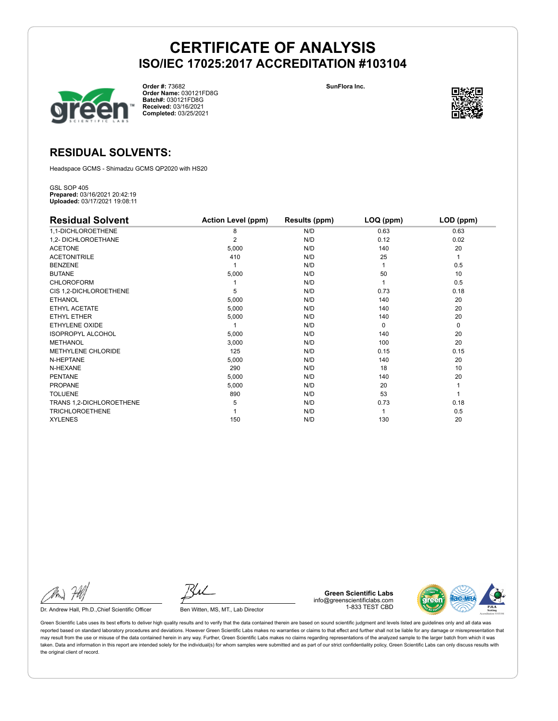

**Order #:** 73682 **Order Name:** 030121FD8G **Batch#:** 030121FD8G **Received:** 03/16/2021 **Completed:** 03/25/2021

**SunFlora Inc.**



## **RESIDUAL SOLVENTS:**

Headspace GCMS - Shimadzu GCMS QP2020 with HS20

GSL SOP 405 **Prepared:** 03/16/2021 20:42:19 **Uploaded:** 03/17/2021 19:08:11

| <b>Residual Solvent</b>  | <b>Action Level (ppm)</b> | Results (ppm) | LOQ (ppm) | LOD (ppm) |
|--------------------------|---------------------------|---------------|-----------|-----------|
| 1,1-DICHLOROETHENE       | 8                         | N/D           | 0.63      | 0.63      |
| 1,2- DICHLOROETHANE      | $\overline{2}$            | N/D           | 0.12      | 0.02      |
| <b>ACETONE</b>           | 5,000                     | N/D           | 140       | 20        |
| <b>ACETONITRILE</b>      | 410                       | N/D           | 25        | 1         |
| <b>BENZENE</b>           |                           | N/D           |           | 0.5       |
| <b>BUTANE</b>            | 5,000                     | N/D           | 50        | 10        |
| <b>CHLOROFORM</b>        |                           | N/D           |           | 0.5       |
| CIS 1,2-DICHLOROETHENE   | 5                         | N/D           | 0.73      | 0.18      |
| <b>ETHANOL</b>           | 5,000                     | N/D           | 140       | 20        |
| ETHYL ACETATE            | 5,000                     | N/D           | 140       | 20        |
| <b>ETHYL ETHER</b>       | 5,000                     | N/D           | 140       | 20        |
| ETHYLENE OXIDE           |                           | N/D           | $\Omega$  | 0         |
| <b>ISOPROPYL ALCOHOL</b> | 5,000                     | N/D           | 140       | 20        |
| <b>METHANOL</b>          | 3,000                     | N/D           | 100       | 20        |
| METHYLENE CHLORIDE       | 125                       | N/D           | 0.15      | 0.15      |
| N-HEPTANE                | 5,000                     | N/D           | 140       | 20        |
| N-HEXANE                 | 290                       | N/D           | 18        | 10        |
| <b>PENTANE</b>           | 5,000                     | N/D           | 140       | 20        |
| <b>PROPANE</b>           | 5,000                     | N/D           | 20        |           |
| <b>TOLUENE</b>           | 890                       | N/D           | 53        |           |
| TRANS 1,2-DICHLOROETHENE | 5                         | N/D           | 0.73      | 0.18      |
| <b>TRICHLOROETHENE</b>   |                           | N/D           |           | 0.5       |
| <b>XYLENES</b>           | 150                       | N/D           | 130       | 20        |

Dr. Andrew Hall, Ph.D., Chief Scientific Officer Ben Witten, MS, MT., Lab Director

**Green Scientific Labs** info@greenscientificlabs.com 1-833 TEST CBD

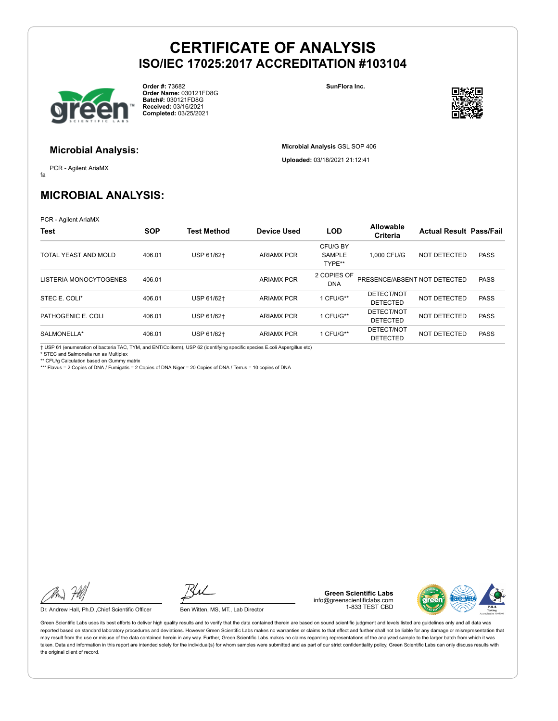

**Order #:** 73682 **Order Name:** 030121FD8G **Batch#:** 030121FD8G **Received:** 03/16/2021 **Completed:** 03/25/2021

**SunFlora Inc.**

**Microbial Analysis** GSL SOP 406 **Uploaded:** 03/18/2021 21:12:41



## **Microbial Analysis:**

fa PCR - Agilent AriaMX

## **MICROBIAL ANALYSIS:**

PCR - Agilent AriaMX

| Test                   | <b>SOP</b> | <b>Test Method</b> | <b>Device Used</b> | <b>LOD</b>                          | <b>Allowable</b><br>Criteria  | <b>Actual Result Pass/Fail</b> |             |
|------------------------|------------|--------------------|--------------------|-------------------------------------|-------------------------------|--------------------------------|-------------|
| TOTAL YEAST AND MOLD   | 406.01     | USP 61/62+         | <b>ARIAMX PCR</b>  | CFU/G BY<br><b>SAMPLE</b><br>TYPE** | 1.000 CFU/G                   | NOT DETECTED                   | <b>PASS</b> |
| LISTERIA MONOCYTOGENES | 406.01     |                    | <b>ARIAMX PCR</b>  | 2 COPIES OF<br><b>DNA</b>           | PRESENCE/ABSENT NOT DETECTED  |                                | <b>PASS</b> |
| STEC E. COLI*          | 406.01     | USP 61/62+         | <b>ARIAMX PCR</b>  | 1 CFU/G**                           | DETECT/NOT<br><b>DETECTED</b> | NOT DETECTED                   | <b>PASS</b> |
| PATHOGENIC E. COLI     | 406.01     | USP 61/62+         | <b>ARIAMX PCR</b>  | 1 CFU/G**                           | DETECT/NOT<br><b>DETECTED</b> | NOT DETECTED                   | <b>PASS</b> |
| SALMONELLA*            | 406.01     | USP 61/62+         | <b>ARIAMX PCR</b>  | 1 CFU/G**                           | DETECT/NOT<br><b>DETECTED</b> | NOT DETECTED                   | <b>PASS</b> |

† USP 61 (enumeration of bacteria TAC, TYM, and ENT/Coliform), USP 62 (identifying specific species E.coli Aspergillus etc) \* STEC and Salmonella run as Multiplex

\*\* CFU/g Calculation based on Gummy matrix

\*\*\* Flavus = 2 Copies of DNA / Fumigatis = 2 Copies of DNA Niger = 20 Copies of DNA / Terrus = 10 copies of DNA

Dr. Andrew Hall, Ph.D., Chief Scientific Officer Ben Witten, MS, MT., Lab Director

**Green Scientific Labs** info@greenscientificlabs.com 1-833 TEST CBD